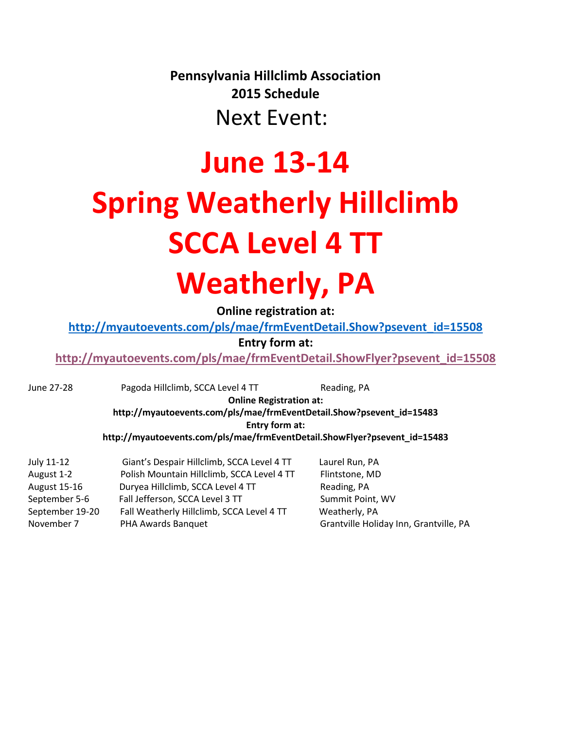**Pennsylvania Hillclimb Association 2015 Schedule**

Next Event:

# **June 13-14 Spring Weatherly Hillclimb SCCA Level 4 TT Weatherly, PA**

**Online registration at:**

**[http://myautoevents.com/pls/mae/frmEventDetail.Show?psevent\\_id=15508](http://myautoevents.com/pls/mae/frmEventDetail.Show?psevent_id=15508)**

**Entry form at:**

**[http://myautoevents.com/pls/mae/frmEventDetail.ShowFlyer?psevent\\_id=15508](http://myautoevents.com/pls/mae/frmEventDetail.ShowFlyer?psevent_id=15508)**

June 27-28 Pagoda Hillclimb, SCCA Level 4 TT Reading, PA

**Online Registration at:**

**http://myautoevents.com/pls/mae/frmEventDetail.Show?psevent\_id=15483 Entry form at:**

**http://myautoevents.com/pls/mae/frmEventDetail.ShowFlyer?psevent\_id=15483**

| July 11-12          | Giant's Despair Hillclimb, SCCA Level 4 TT | Laurel Run, PA                         |
|---------------------|--------------------------------------------|----------------------------------------|
| August 1-2          | Polish Mountain Hillclimb, SCCA Level 4 TT | Flintstone, MD                         |
| <b>August 15-16</b> | Duryea Hillclimb, SCCA Level 4 TT          | Reading, PA                            |
| September 5-6       | Fall Jefferson, SCCA Level 3 TT            | Summit Point, WV                       |
| September 19-20     | Fall Weatherly Hillclimb, SCCA Level 4 TT  | Weatherly, PA                          |
| November 7          | PHA Awards Banquet                         | Grantville Holiday Inn, Grantville, PA |
|                     |                                            |                                        |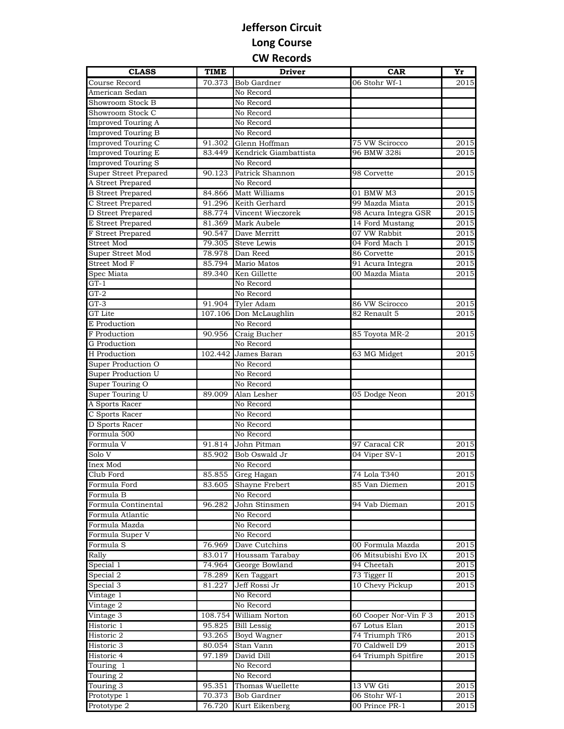## **Jefferson Circuit Long Course CW Records**

| <b>CLASS</b>              | <b>TIME</b> | <b>Driver</b>         | <b>CAR</b>            | Yr   |
|---------------------------|-------------|-----------------------|-----------------------|------|
| Course Record             | 70.373      | <b>Bob Gardner</b>    | 06 Stohr Wf-1         | 2015 |
| American Sedan            |             | No Record             |                       |      |
| Showroom Stock B          |             | No Record             |                       |      |
| Showroom Stock C          |             | No Record             |                       |      |
| <b>Improved Touring A</b> |             | No Record             |                       |      |
| Improved Touring B        |             | No Record             |                       |      |
| Improved Touring C        | 91.302      | Glenn Hoffman         | 75 VW Scirocco        | 2015 |
| <b>Improved Touring E</b> | 83.449      | Kendrick Giambattista | 96 BMW 328i           | 2015 |
| <b>Improved Touring S</b> |             | No Record             |                       |      |
| Super Street Prepared     | 90.123      | Patrick Shannon       | 98 Corvette           | 2015 |
| A Street Prepared         |             | No Record             |                       |      |
| <b>B</b> Street Prepared  | 84.866      | Matt Williams         | 01 BMW M3             | 2015 |
| C Street Prepared         | 91.296      | Keith Gerhard         | 99 Mazda Miata        | 2015 |
| D Street Prepared         | 88.774      | Vincent Wieczorek     | 98 Acura Integra GSR  | 2015 |
| E Street Prepared         | 81.369      | Mark Aubele           | 14 Ford Mustang       | 2015 |
| F Street Prepared         | 90.547      | Dave Merritt          | 07 VW Rabbit          | 2015 |
| Street Mod                | 79.305      | Steve Lewis           | 04 Ford Mach 1        | 2015 |
| Super Street Mod          | 78.978      | Dan Reed              | 86 Corvette           | 2015 |
| Street Mod F              | 85.794      | Mario Matos           | 91 Acura Integra      | 2015 |
| Spec Miata                | 89.340      | Ken Gillette          | 00 Mazda Miata        | 2015 |
| $GT-1$                    |             | No Record             |                       |      |
| $GT-2$                    |             | No Record             |                       |      |
| $GT-3$                    | 91.904      | <b>Tyler Adam</b>     | 86 VW Scirocco        | 2015 |
| GT Lite                   | 107.106     | Don McLaughlin        | 82 Renault 5          | 2015 |
| E Production              |             | No Record             |                       |      |
| F Production              | 90.956      | Craig Bucher          | 85 Toyota MR-2        | 2015 |
| G Production              |             | No Record             |                       |      |
| <b>H</b> Production       | 102.442     | James Baran           | 63 MG Midget          | 2015 |
| Super Production O        |             | No Record             |                       |      |
| Super Production U        |             | No Record             |                       |      |
| Super Touring O           |             | No Record             |                       |      |
| Super Touring U           | 89.009      | Alan Lesher           | 05 Dodge Neon         | 2015 |
| A Sports Racer            |             | No Record             |                       |      |
| C Sports Racer            |             | No Record             |                       |      |
| D Sports Racer            |             | No Record             |                       |      |
| Formula 500               |             | No Record             |                       |      |
| Formula V                 | 91.814      | John Pitman           | 97 Caracal CR         | 2015 |
| Solo V                    | 85.902      | Bob Oswald Jr         | 04 Viper SV-1         | 2015 |
| Inex Mod                  |             | No Record             |                       |      |
| Club Ford                 | 85.855      | Greg Hagan            | 74 Lola T340          | 2015 |
| Formula Ford              | 83.605      | Shayne Frebert        | 85 Van Diemen         | 2015 |
| Formula <sub>B</sub>      |             | No Record             |                       |      |
| Formula Continental       | 96.282      | John Stinsmen         | 94 Vab Dieman         | 2015 |
| Formula Atlantic          |             | No Record             |                       |      |
| Formula Mazda             |             | No Record             |                       |      |
| Formula Super V           |             | No Record             |                       |      |
| Formula S                 | 76.969      | Dave Cutchins         | 00 Formula Mazda      | 2015 |
| Rally                     | 83.017      | Houssam Tarabay       | 06 Mitsubishi Evo IX  | 2015 |
| Special 1                 | 74.964      | George Bowland        | 94 Cheetah            | 2015 |
| Special 2                 | 78.289      | Ken Taggart           | 73 Tigger II          | 2015 |
| Special 3                 | 81.227      | Jeff Rossi Jr         | 10 Chevy Pickup       | 2015 |
| Vintage 1                 |             | No Record             |                       |      |
| Vintage 2                 |             | No Record             |                       |      |
| Vintage 3                 | 108.754     | William Norton        | 60 Cooper Nor-Vin F 3 | 2015 |
| Historic 1                | 95.825      | <b>Bill Lessig</b>    | 67 Lotus Elan         | 2015 |
| Historic 2                | 93.265      | Boyd Wagner           | 74 Triumph TR6        | 2015 |
| Historic 3                | 80.054      | Stan Vann             | 70 Caldwell D9        | 2015 |
| Historic 4                | 97.189      | David Dill            | 64 Triumph Spitfire   | 2015 |
| Touring 1                 |             | No Record             |                       |      |
| Touring 2                 |             | No Record             |                       |      |
| Touring 3                 | 95.351      | Thomas Wuellette      | 13 VW Gti             | 2015 |
| Prototype 1               | 70.373      | Bob Gardner           | 06 Stohr Wf-1         | 2015 |
| Prototype 2               | 76.720      | Kurt Eikenberg        | 00 Prince PR-1        | 2015 |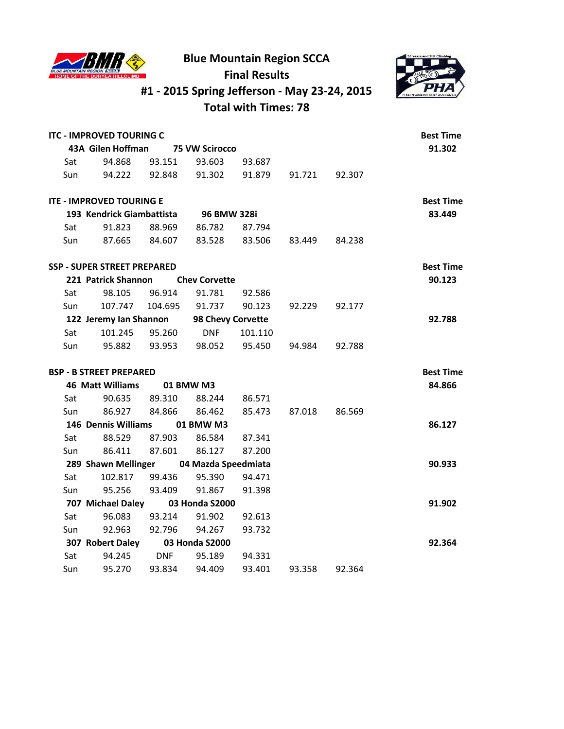

**Blue Mountain Region SCCA**



## **Final Results #1 - 2015 Spring Jefferson - May 23-24, 2015**

**Total with Times: 78**

|     | <b>ITC - IMPROVED TOURING C</b>    |               |                          |         |        |               | <b>Best Time</b><br>91.302 |
|-----|------------------------------------|---------------|--------------------------|---------|--------|---------------|----------------------------|
|     | 43A Gilen Hoffman                  |               | <b>75 VW Scirocco</b>    |         |        |               |                            |
| Sat | 94.868                             | 93.151        | 93.603                   | 93.687  |        |               |                            |
| Sun | 94.222                             | 92.848        | 91.302                   | 91.879  |        | 91.721 92.307 |                            |
|     | <b>ITE - IMPROVED TOURING E</b>    |               |                          |         |        |               | <b>Best Time</b>           |
|     | 193 Kendrick Giambattista          |               | 96 BMW 328i              |         |        |               | 83.449                     |
| Sat | 91.823                             | 88.969        | 86.782                   | 87.794  |        |               |                            |
| Sun | 87.665                             | 84.607        | 83.528                   | 83.506  | 83.449 | 84.238        |                            |
|     | <b>SSP - SUPER STREET PREPARED</b> |               |                          |         |        |               | <b>Best Time</b>           |
|     | 221 Patrick Shannon                |               | <b>Chev Corvette</b>     |         |        |               | 90.123                     |
| Sat | 98.105                             | 96.914        | 91.781                   | 92.586  |        |               |                            |
| Sun |                                    |               | 107.747  104.695  91.737 | 90.123  | 92.229 | 92.177        |                            |
|     | 122 Jeremy Ian Shannon             |               | 98 Chevy Corvette        |         |        |               | 92.788                     |
| Sat | 101.245 95.260                     |               | <b>DNF</b>               | 101.110 |        |               |                            |
| Sun | 95.882                             |               | 93.953 98.052 95.450     |         | 94.984 | 92.788        |                            |
|     | <b>BSP - B STREET PREPARED</b>     |               |                          |         |        |               | <b>Best Time</b>           |
|     | <b>46 Matt Williams</b>            |               | 01 BMW M3                |         |        |               | 84.866                     |
| Sat | 90.635                             | 89.310        | 88.244                   | 86.571  |        |               |                            |
| Sun |                                    | 86.927 84.866 | 86.462                   | 85.473  | 87.018 | 86.569        |                            |
|     | 146 Dennis Williams                |               | 01 BMW M3                |         |        |               | 86.127                     |
| Sat | 88.529                             | 87.903        | 86.584                   | 87.341  |        |               |                            |
| Sun | 86.411                             | 87.601        | 86.127                   | 87.200  |        |               |                            |
|     | 289 Shawn Mellinger                |               | 04 Mazda Speedmiata      |         |        |               | 90.933                     |
| Sat | 102.817                            | 99.436        | 95.390                   | 94.471  |        |               |                            |
| Sun | 95.256                             | 93.409        | 91.867                   | 91.398  |        |               |                            |
|     | 707 Michael Daley                  |               | 03 Honda S2000           |         |        |               | 91.902                     |
| Sat | 96.083                             | 93.214        | 91.902                   | 92.613  |        |               |                            |
| Sun | 92.963                             | 92.796        | 94.267                   | 93.732  |        |               |                            |
|     | 307 Robert Daley                   |               | 03 Honda S2000           |         |        |               | 92.364                     |
| Sat | 94.245                             | <b>DNF</b>    | 95.189                   | 94.331  |        |               |                            |
| Sun | 95.270                             | 93.834        | 94.409                   | 93.401  | 93.358 | 92.364        |                            |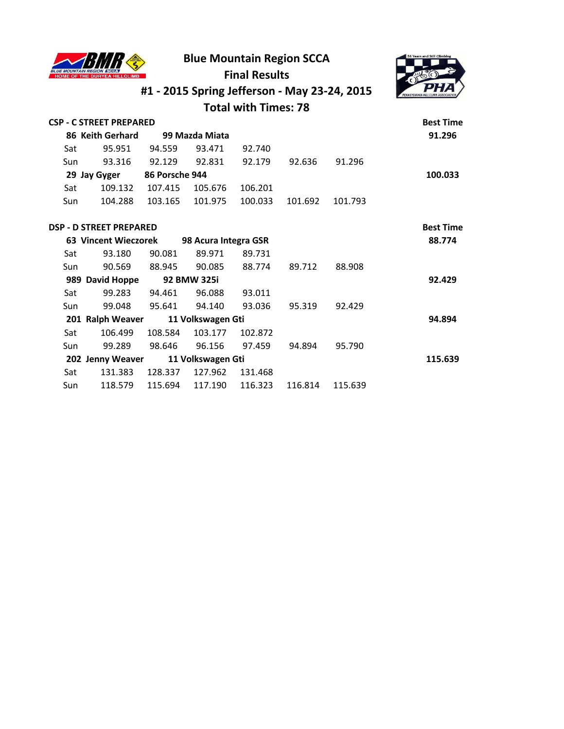

## **Blue Mountain Region SCCA**



## **Final Results #1 - 2015 Spring Jefferson - May 23-24, 2015**

**Total with Times: 78**

|     | <b>CSP - C STREET PREPARED</b> |                |                      |         |         |         | <b>Best Time</b> |
|-----|--------------------------------|----------------|----------------------|---------|---------|---------|------------------|
|     | 86 Keith Gerhard               |                | 99 Mazda Miata       |         |         |         | 91.296           |
| Sat | 95.951                         | 94.559         | 93.471               | 92.740  |         |         |                  |
| Sun | 93.316                         | 92.129         | 92.831               | 92.179  | 92.636  | 91.296  |                  |
|     | 29 Jay Gyger                   | 86 Porsche 944 |                      |         |         |         | 100.033          |
| Sat | 109.132                        | 107.415        | 105.676              | 106.201 |         |         |                  |
| Sun | 104.288                        | 103.165        | 101.975              | 100.033 | 101.692 | 101.793 |                  |
|     | <b>DSP - D STREET PREPARED</b> |                |                      |         |         |         | <b>Best Time</b> |
|     | <b>63 Vincent Wieczorek</b>    |                | 98 Acura Integra GSR |         |         |         | 88.774           |
| Sat | 93.180                         | 90.081         | 89.971               | 89.731  |         |         |                  |
| Sun | 90.569                         | 88.945         | 90.085               | 88.774  | 89.712  | 88.908  |                  |
|     | 989 David Hoppe                |                | 92 BMW 325i          |         |         |         | 92.429           |
| Sat | 99.283                         | 94.461         | 96.088               | 93.011  |         |         |                  |
| Sun | 99.048                         | 95.641         | 94.140               | 93.036  | 95.319  | 92.429  |                  |
|     | 201 Ralph Weaver               |                | 11 Volkswagen Gti    |         |         |         | 94.894           |
| Sat | 106.499                        | 108.584        | 103.177              | 102.872 |         |         |                  |
| Sun | 99.289                         | 98.646         | 96.156               | 97.459  | 94.894  | 95.790  |                  |
|     | 202 Jenny Weaver               |                | 11 Volkswagen Gti    |         |         |         | 115.639          |
| Sat | 131.383                        | 128.337        | 127.962              | 131.468 |         |         |                  |

Sun 118.579 115.694 117.190 116.323 116.814 115.639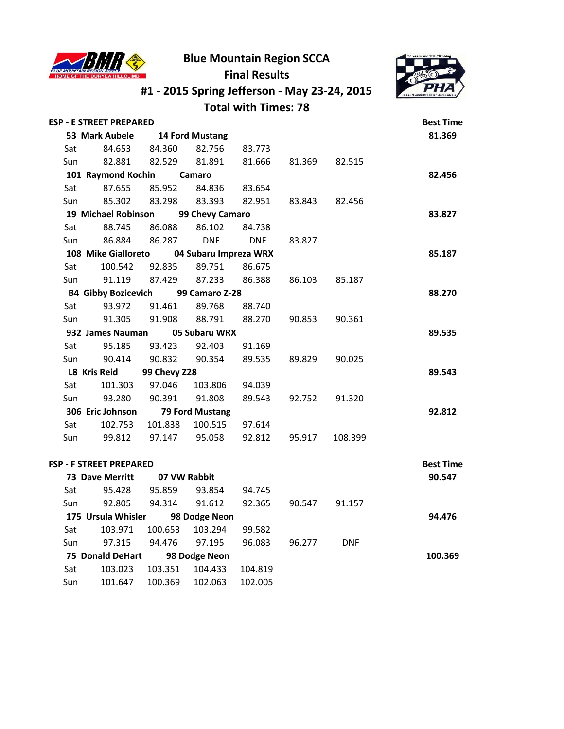

**#1 - 2015 Spring Jefferson - May 23-24, 2015**



|     |                                |              |                       | <b>Total with Times: 78</b> |        |            |                  |
|-----|--------------------------------|--------------|-----------------------|-----------------------------|--------|------------|------------------|
|     | <b>ESP - E STREET PREPARED</b> |              |                       |                             |        |            | <b>Best Time</b> |
|     | 53 Mark Aubele                 |              | 14 Ford Mustang       |                             |        |            | 81.369           |
| Sat | 84.653                         | 84.360       | 82.756                | 83.773                      |        |            |                  |
| Sun | 82.881                         | 82.529       | 81.891                | 81.666                      | 81.369 | 82.515     |                  |
|     | 101 Raymond Kochin             |              | Camaro                |                             |        |            | 82.456           |
| Sat | 87.655                         | 85.952       | 84.836                | 83.654                      |        |            |                  |
| Sun | 85.302                         | 83.298       | 83.393                | 82.951                      | 83.843 | 82.456     |                  |
|     | 19 Michael Robinson            |              | 99 Chevy Camaro       |                             |        |            | 83.827           |
| Sat | 88.745                         | 86.088       | 86.102                | 84.738                      |        |            |                  |
| Sun | 86.884                         | 86.287       | <b>DNF</b>            | <b>DNF</b>                  | 83.827 |            |                  |
|     | 108 Mike Gialloreto            |              | 04 Subaru Impreza WRX |                             |        |            | 85.187           |
| Sat | 100.542                        | 92.835       | 89.751                | 86.675                      |        |            |                  |
| Sun | 91.119                         | 87.429       | 87.233                | 86.388                      | 86.103 | 85.187     |                  |
|     | <b>B4 Gibby Bozicevich</b>     |              | 99 Camaro Z-28        |                             |        |            | 88.270           |
| Sat | 93.972                         | 91.461       | 89.768                | 88.740                      |        |            |                  |
| Sun | 91.305                         | 91.908       | 88.791                | 88.270                      | 90.853 | 90.361     |                  |
|     | 932 James Nauman               |              | 05 Subaru WRX         |                             |        |            | 89.535           |
| Sat | 95.185                         | 93.423       | 92.403                | 91.169                      |        |            |                  |
| Sun | 90.414                         | 90.832       | 90.354                | 89.535                      | 89.829 | 90.025     |                  |
|     | L8 Kris Reid                   | 99 Chevy Z28 |                       |                             |        |            | 89.543           |
| Sat | 101.303                        | 97.046       | 103.806               | 94.039                      |        |            |                  |
| Sun | 93.280                         | 90.391       | 91.808                | 89.543                      | 92.752 | 91.320     |                  |
|     | 306 Eric Johnson               |              | 79 Ford Mustang       |                             |        |            | 92.812           |
| Sat | 102.753                        | 101.838      | 100.515               | 97.614                      |        |            |                  |
| Sun | 99.812                         | 97.147       | 95.058                | 92.812                      | 95.917 | 108.399    |                  |
|     | FSP - F STREET PREPARED        |              |                       |                             |        |            | <b>Best Time</b> |
|     | <b>73 Dave Merritt</b>         |              | 07 VW Rabbit          |                             |        |            | 90.547           |
| Sat | 95.428                         | 95.859       | 93.854                | 94.745                      |        |            |                  |
| Sun | 92.805                         | 94.314       | 91.612                | 92.365                      | 90.547 | 91.157     |                  |
|     | 175 Ursula Whisler             |              | 98 Dodge Neon         |                             |        |            | 94.476           |
| Sat | 103.971                        | 100.653      | 103.294               | 99.582                      |        |            |                  |
| Sun | 97.315                         | 94.476       | 97.195                | 96.083                      | 96.277 | <b>DNF</b> |                  |
|     | <b>75 Donald DeHart</b>        |              | 98 Dodge Neon         |                             |        |            | 100.369          |
| Sat | 103.023                        | 103.351      | 104.433               | 104.819                     |        |            |                  |

Sun 101.647 100.369 102.063 102.005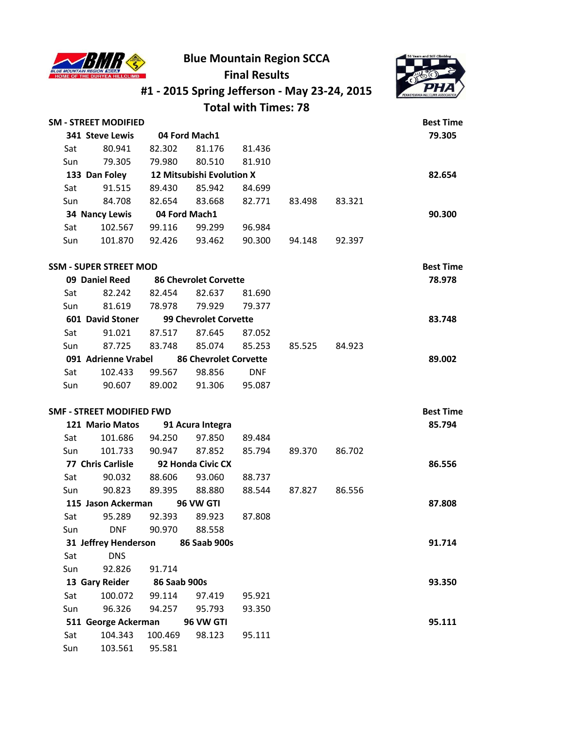

**#1 - 2015 Spring Jefferson - May 23-24, 2015**



#### **Total with Times: 78 SM - STREET MODIFIED Best Time 341 Steve Lewis 04 Ford Mach1 79.305** Sat 80.941 82.302 81.176 81.436 Sun 79.305 79.980 80.510 81.910  **133 Dan Foley 12 Mitsubishi Evolution X 82.654** Sat 91.515 89.430 85.942 84.699 Sun 84.708 82.654 83.668 82.771 83.498 83.321  **34 Nancy Lewis 04 Ford Mach1 90.300** Sat 102.567 99.116 99.299 96.984 Sun 101.870 92.426 93.462 90.300 94.148 92.397 **SSM - SUPER STREET MOD Best Time 09 Daniel Reed 86 Chevrolet Corvette 78.978** Sat 82.242 82.454 82.637 81.690 Sun 81.619 78.978 79.929 79.377  **601 David Stoner 99 Chevrolet Corvette 83.748** Sat 91.021 87.517 87.645 87.052 Sun 87.725 83.748 85.074 85.253 85.525 84.923  **091 Adrienne Vrabel 86 Chevrolet Corvette 89.002** Sat 102.433 99.567 98.856 DNF Sun 90.607 89.002 91.306 95.087 **SMF - STREET MODIFIED FWD Best Time 121 Mario Matos 91 Acura Integra 85.794** Sat 101.686 94.250 97.850 89.484 Sun 101.733 90.947 87.852 85.794 89.370 86.702  **77 Chris Carlisle 92 Honda Civic CX 86.556** Sat 90.032 88.606 93.060 88.737 Sun 90.823 89.395 88.880 88.544 87.827 86.556  **115 Jason Ackerman 96 VW GTI 87.808** Sat 95.289 92.393 89.923 87.808 Sun DNF 90.970 88.558  **31 Jeffrey Henderson 86 Saab 900s 91.714** Sat DNS Sun 92.826 91.714  **13 Gary Reider 86 Saab 900s 93.350** Sat 100.072 99.114 97.419 95.921 Sun 96.326 94.257 95.793 93.350  **511 George Ackerman 96 VW GTI 95.111** Sat 104.343 100.469 98.123 95.111 Sun 103.561 95.581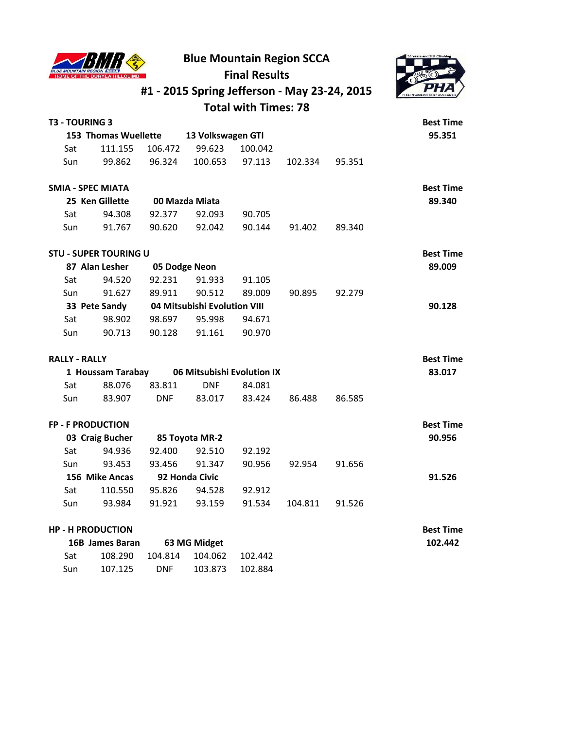

**#1 - 2015 Spring Jefferson - May 23-24, 2015**



#### **Total with Times: 78**

|     | T3 - TOURING 3               |            |                              |         |         |        | <b>Best Time</b> |
|-----|------------------------------|------------|------------------------------|---------|---------|--------|------------------|
|     | 153 Thomas Wuellette         |            | 13 Volkswagen GTI            |         |         |        | 95.351           |
| Sat | 111.155                      | 106.472    | 99.623                       | 100.042 |         |        |                  |
| Sun | 99.862                       | 96.324     | 100.653                      | 97.113  | 102.334 | 95.351 |                  |
|     | <b>SMIA - SPEC MIATA</b>     |            |                              |         |         |        | <b>Best Time</b> |
|     | 25 Ken Gillette              |            | 00 Mazda Miata               |         |         |        | 89.340           |
| Sat | 94.308                       | 92.377     | 92.093                       | 90.705  |         |        |                  |
| Sun | 91.767                       | 90.620     | 92.042                       | 90.144  | 91.402  | 89.340 |                  |
|     | <b>STU - SUPER TOURING U</b> |            |                              |         |         |        | <b>Best Time</b> |
|     | 87 Alan Lesher               |            | 05 Dodge Neon                |         |         |        | 89.009           |
| Sat | 94.520                       | 92.231     | 91.933                       | 91.105  |         |        |                  |
| Sun | 91.627                       | 89.911     | 90.512                       | 89.009  | 90.895  | 92.279 |                  |
|     | 33 Pete Sandy                |            | 04 Mitsubishi Evolution VIII |         |         |        | 90.128           |
| Sat | 98.902                       | 98.697     | 95.998                       | 94.671  |         |        |                  |
| Sun | 90.713                       | 90.128     | 91.161                       | 90.970  |         |        |                  |
|     | <b>RALLY - RALLY</b>         |            |                              |         |         |        | <b>Best Time</b> |
|     | 1 Houssam Tarabay            |            | 06 Mitsubishi Evolution IX   |         |         |        | 83.017           |
| Sat | 88.076                       | 83.811     | <b>DNF</b>                   | 84.081  |         |        |                  |
| Sun | 83.907                       | <b>DNF</b> | 83.017                       | 83.424  | 86.488  | 86.585 |                  |
|     | <b>FP - F PRODUCTION</b>     |            |                              |         |         |        | <b>Best Time</b> |
|     | 03 Craig Bucher              |            | 85 Toyota MR-2               |         |         |        | 90.956           |
| Sat | 94.936                       | 92.400     | 92.510                       | 92.192  |         |        |                  |
| Sun | 93.453                       | 93.456     | 91.347                       | 90.956  | 92.954  | 91.656 |                  |
|     | 156 Mike Ancas               |            | 92 Honda Civic               |         |         |        | 91.526           |
| Sat | 110.550                      | 95.826     | 94.528                       | 92.912  |         |        |                  |
| Sun | 93.984                       | 91.921     | 93.159                       | 91.534  | 104.811 | 91.526 |                  |
|     | <b>HP - H PRODUCTION</b>     |            |                              |         |         |        | <b>Best Time</b> |
|     | 1CD James Davon              |            | C2NACMida <sub>0</sub>       |         |         |        | 102.112          |

| 16B James Baran |         | 63 MG Midget |                                    | 102.442 |
|-----------------|---------|--------------|------------------------------------|---------|
| Sat             |         |              | 108.290  104.814  104.062  102.442 |         |
| Sun             | 107.125 | <b>DNF</b>   | 103.873 102.884                    |         |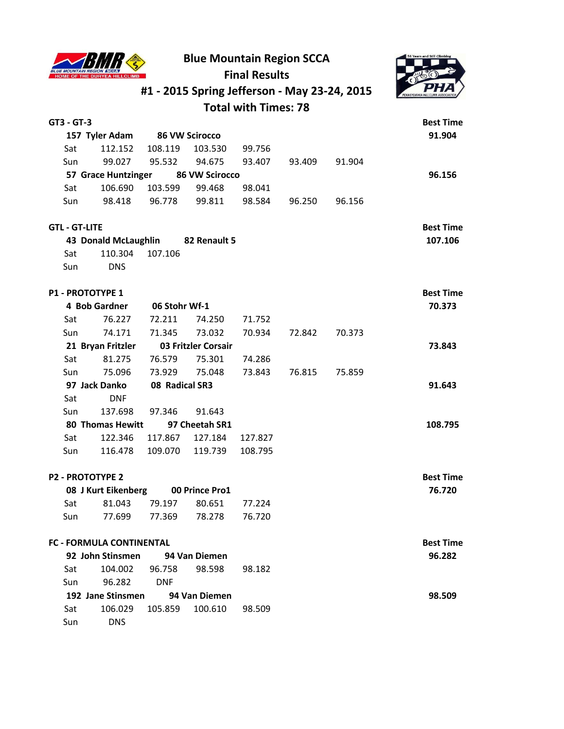

|                         |                                 |                       |                     | #1 - 2015 Spring Jefferson - May 23-24, 2015 |        |        |                  |  |  |
|-------------------------|---------------------------------|-----------------------|---------------------|----------------------------------------------|--------|--------|------------------|--|--|
|                         |                                 |                       |                     | <b>Total with Times: 78</b>                  |        |        |                  |  |  |
| GT3 - GT-3              |                                 |                       |                     |                                              |        |        | <b>Best Time</b> |  |  |
|                         | 157 Tyler Adam                  | <b>86 VW Scirocco</b> |                     |                                              |        |        | 91.904           |  |  |
| Sat                     | 112.152                         | 108.119               | 103.530             | 99.756                                       |        |        |                  |  |  |
| Sun                     | 99.027                          | 95.532                | 94.675              | 93.407                                       | 93.409 | 91.904 |                  |  |  |
|                         | 57 Grace Huntzinger             |                       | 86 VW Scirocco      |                                              |        |        | 96.156           |  |  |
| Sat                     | 106.690                         | 103.599               | 99.468              | 98.041                                       |        |        |                  |  |  |
| Sun                     | 98.418                          | 96.778                | 99.811              | 98.584                                       | 96.250 | 96.156 |                  |  |  |
| <b>GTL-GT-LITE</b>      |                                 |                       |                     |                                              |        |        | <b>Best Time</b> |  |  |
|                         | <b>43 Donald McLaughlin</b>     |                       | 82 Renault 5        |                                              |        |        | 107.106          |  |  |
| Sat                     | 110.304                         | 107.106               |                     |                                              |        |        |                  |  |  |
| Sun                     | <b>DNS</b>                      |                       |                     |                                              |        |        |                  |  |  |
| <b>P1 - PROTOTYPE 1</b> |                                 |                       |                     |                                              |        |        | <b>Best Time</b> |  |  |
|                         | 4 Bob Gardner                   | 06 Stohr Wf-1         |                     |                                              |        |        | 70.373           |  |  |
| Sat                     | 76.227                          | 72.211                | 74.250              | 71.752                                       |        |        |                  |  |  |
| Sun                     | 74.171                          | 71.345                | 73.032              | 70.934                                       | 72.842 | 70.373 |                  |  |  |
|                         | 21 Bryan Fritzler               |                       | 03 Fritzler Corsair |                                              |        |        | 73.843           |  |  |
| Sat                     | 81.275                          | 76.579                | 75.301              | 74.286                                       |        |        |                  |  |  |
| Sun                     | 75.096                          | 73.929                | 75.048              | 73.843                                       | 76.815 | 75.859 |                  |  |  |
|                         | 97 Jack Danko                   | 08 Radical SR3        |                     |                                              |        |        | 91.643           |  |  |
| Sat                     | <b>DNF</b>                      |                       |                     |                                              |        |        |                  |  |  |
| Sun                     | 137.698                         | 97.346                | 91.643              |                                              |        |        |                  |  |  |
|                         | <b>80 Thomas Hewitt</b>         |                       | 97 Cheetah SR1      |                                              |        |        | 108.795          |  |  |
| Sat                     | 122.346                         | 117.867               | 127.184             | 127.827                                      |        |        |                  |  |  |
| Sun                     | 116.478                         | 109.070               | 119.739             | 108.795                                      |        |        |                  |  |  |
| <b>P2 - PROTOTYPE 2</b> |                                 |                       |                     |                                              |        |        | <b>Best Time</b> |  |  |
|                         | 08 J Kurt Eikenberg             |                       | 00 Prince Pro1      |                                              |        |        | 76.720           |  |  |
| Sat                     | 81.043                          | 79.197                | 80.651              | 77.224                                       |        |        |                  |  |  |
| Sun                     | 77.699                          | 77.369                | 78.278              | 76.720                                       |        |        |                  |  |  |
|                         | <b>FC - FORMULA CONTINENTAL</b> |                       |                     |                                              |        |        | <b>Best Time</b> |  |  |
|                         | 92 John Stinsmen                |                       | 94 Van Diemen       |                                              |        |        | 96.282           |  |  |
| Sat                     | 104.002                         | 96.758                | 98.598              | 98.182                                       |        |        |                  |  |  |
| Sun                     | 96.282                          | <b>DNF</b>            |                     |                                              |        |        |                  |  |  |
|                         | 192 Jane Stinsmen               |                       | 94 Van Diemen       |                                              |        |        | 98.509           |  |  |
| Sat                     | 106.029                         | 105.859               | 100.610             | 98.509                                       |        |        |                  |  |  |
| Sun                     | <b>DNS</b>                      |                       |                     |                                              |        |        |                  |  |  |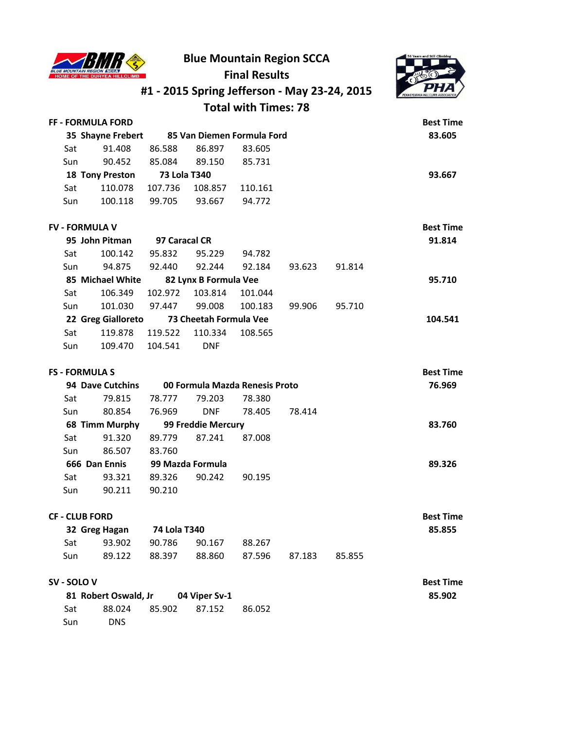



# **#1 - 2015 Spring Jefferson - May 23-24, 2015**

## **Total with Times: 78**

|      | FF - FORMULA FORD      |                     |         |                            | <b>Best Time</b> |
|------|------------------------|---------------------|---------|----------------------------|------------------|
|      | 35 Shayne Frebert      |                     |         | 85 Van Diemen Formula Ford | 83.605           |
| Sat  | 91.408                 | 86.588              | 86.897  | 83.605                     |                  |
| Sun  | 90.452                 | 85.084              | 89.150  | 85.731                     |                  |
|      | <b>18 Tony Preston</b> | <b>73 Lola T340</b> |         |                            | 93.667           |
| Sat  | 110.078                | 107.736             | 108.857 | 110.161                    |                  |
| Sun. | 100.118                | 99.705              | 93.667  | 94.772                     |                  |
|      |                        |                     |         |                            |                  |

| <b>FV - FORMULA V</b> |         |                                        |               |                                                 |        | <b>Best Time</b> |
|-----------------------|---------|----------------------------------------|---------------|-------------------------------------------------|--------|------------------|
| 95 John Pitman        |         |                                        |               |                                                 |        | 91.814           |
| 100.142               | 95.832  | 95.229                                 | 94.782        |                                                 |        |                  |
| 94.875                | 92.440  | 92.244                                 | 92.184        | 93.623                                          | 91.814 |                  |
|                       |         |                                        |               |                                                 |        | 95.710           |
| 106.349               | 102.972 | 103.814                                | 101.044       |                                                 |        |                  |
| 101.030               | 97.447  | 99.008                                 | 100.183       | 99.906                                          | 95.710 |                  |
|                       |         |                                        |               |                                                 |        | 104.541          |
| 119.878               | 119.522 | 110.334                                | 108.565       |                                                 |        |                  |
| 109.470               | 104.541 | <b>DNF</b>                             |               |                                                 |        |                  |
|                       |         | 85 Michael White<br>22 Greg Gialloreto | 97 Caracal CR | 82 Lynx B Formula Vee<br>73 Cheetah Formula Vee |        |                  |

|     | <b>FS - FORMULA S</b> |        |                                |        |        | <b>Best Time</b> |
|-----|-----------------------|--------|--------------------------------|--------|--------|------------------|
|     | 94 Dave Cutchins      |        | 00 Formula Mazda Renesis Proto |        | 76.969 |                  |
| Sat | 79.815                | 78.777 | 79.203                         | 78.380 |        |                  |
| Sun | 80.854                | 76.969 | <b>DNF</b>                     | 78.405 | 78.414 |                  |
|     | 68 Timm Murphy        |        | 99 Freddie Mercury             |        |        | 83.760           |
| Sat | 91.320                | 89.779 | 87.241                         | 87.008 |        |                  |
| Sun | 86.507                | 83.760 |                                |        |        |                  |
|     | 666 Dan Ennis         |        | 99 Mazda Formula               |        |        | 89.326           |
| Sat | 93.321                | 89.326 | 90.242                         | 90.195 |        |                  |
| Sun | 90.211                | 90.210 |                                |        |        |                  |
|     |                       |        |                                |        |        |                  |

#### **CF - CLUB FORD Best Time**

| 85.855 |        |                      | 74 Lola T340  | 32 Greg Hagan |     |
|--------|--------|----------------------|---------------|---------------|-----|
|        |        | 88.267               | 90.786 90.167 | 93.902        | Sat |
|        | 85.855 | 88.860 87.596 87.183 | 88.397        | 89.122        | Sun |

#### **SV - SOLO V Best Time**

|     | 81 Robert Oswald, Jr 04 Viper Sv-1 |                      |        |
|-----|------------------------------------|----------------------|--------|
| Sat |                                    | 88.024 85.902 87.152 | 86.052 |
| Sun | <b>DNS</b>                         |                      |        |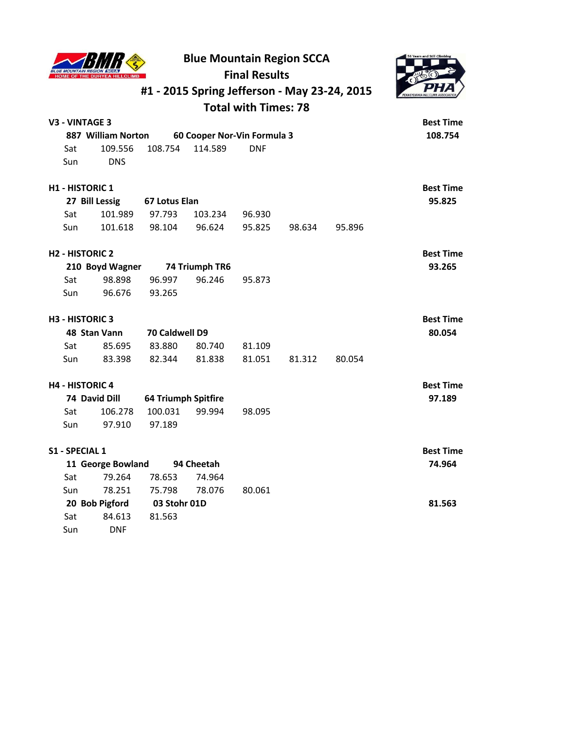



## **#1 - 2015 Spring Jefferson - May 23-24, 2015 Total with Times: 78**

| <b>V3 - VINTAGE 3</b>  |                                |                            |                             |            |        |        | <b>Best Time</b> |
|------------------------|--------------------------------|----------------------------|-----------------------------|------------|--------|--------|------------------|
|                        | 887 William Norton             |                            | 60 Cooper Nor-Vin Formula 3 |            |        |        | 108.754          |
| Sat                    | 109.556                        | 108.754                    | 114.589                     | <b>DNF</b> |        |        |                  |
| Sun                    | <b>DNS</b>                     |                            |                             |            |        |        |                  |
| <b>H1 - HISTORIC 1</b> |                                |                            |                             |            |        |        | <b>Best Time</b> |
|                        | 27 Bill Lessig                 | 67 Lotus Elan              |                             |            |        |        | 95.825           |
| Sat                    | 101.989                        | 97.793                     | 103.234                     | 96.930     |        |        |                  |
| Sun                    | 101.618                        | 98.104                     | 96.624                      | 95.825     | 98.634 | 95.896 |                  |
| <b>H2 - HISTORIC 2</b> |                                |                            |                             |            |        |        | <b>Best Time</b> |
|                        | 210 Boyd Wagner 74 Triumph TR6 |                            |                             |            |        |        | 93.265           |
| Sat                    | 98.898                         | 96.997                     | 96.246                      | 95.873     |        |        |                  |
| Sun                    | 96.676                         | 93.265                     |                             |            |        |        |                  |
| <b>H3 - HISTORIC 3</b> |                                |                            |                             |            |        |        | <b>Best Time</b> |
|                        | 48 Stan Vann                   | 70 Caldwell D9             |                             |            |        |        | 80.054           |
| Sat                    | 85.695                         | 83.880                     | 80.740                      | 81.109     |        |        |                  |
| Sun                    | 83.398                         | 82.344                     | 81.838                      | 81.051     | 81.312 | 80.054 |                  |
| <b>H4 - HISTORIC 4</b> |                                |                            |                             |            |        |        | <b>Best Time</b> |
|                        | 74 David Dill                  | <b>64 Triumph Spitfire</b> |                             |            |        |        | 97.189           |
| Sat                    | 106.278                        | 100.031                    | 99.994                      | 98.095     |        |        |                  |
| Sun                    | 97.910                         | 97.189                     |                             |            |        |        |                  |
| <b>S1 - SPECIAL 1</b>  |                                |                            |                             |            |        |        | <b>Best Time</b> |
|                        | 11 George Bowland              |                            | 94 Cheetah                  |            |        |        | 74.964           |
| Sat                    | 79.264                         | 78.653                     | 74.964                      |            |        |        |                  |
| Sun                    | 78.251                         | 75.798                     | 78.076                      | 80.061     |        |        |                  |
|                        | 20 Bob Pigford                 | 03 Stohr 01D               |                             |            |        |        | 81.563           |
| Sat                    | 84.613                         | 81.563                     |                             |            |        |        |                  |
| Sun                    | <b>DNF</b>                     |                            |                             |            |        |        |                  |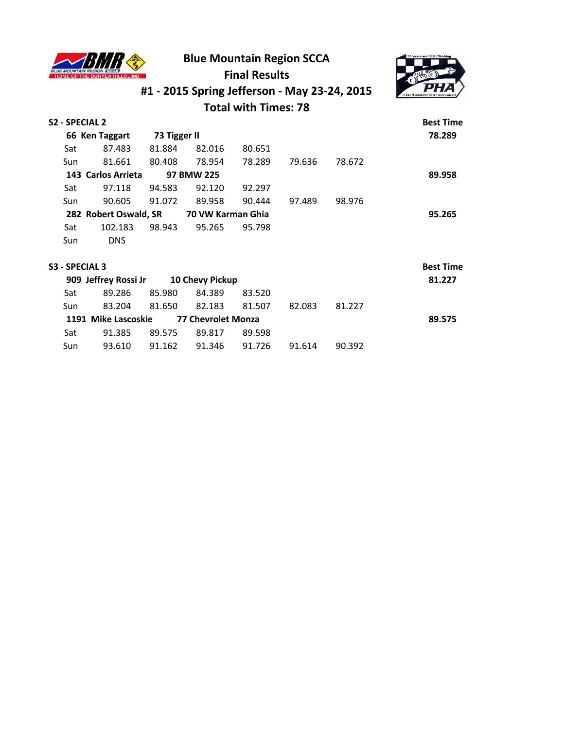

## **Blue Mountain Region SCCA**



### **Final Results**

# **#1 - 2015 Spring Jefferson - May 23-24, 2015**

## **Total with Times: 78**

| S2 - SPECIAL 2 |                       |              |                    |        |        |        | <b>Best Time</b> |
|----------------|-----------------------|--------------|--------------------|--------|--------|--------|------------------|
|                | 66 Ken Taggart        | 73 Tigger II |                    |        |        |        | 78.289           |
| Sat            | 87.483                | 81.884       | 82.016             | 80.651 |        |        |                  |
| Sun            | 81.661                | 80.408       | 78.954             | 78.289 | 79.636 | 78.672 |                  |
|                | 143 Carlos Arrieta    |              | 97 BMW 225         |        |        |        | 89.958           |
| Sat            | 97.118                | 94.583       | 92.120             | 92.297 |        |        |                  |
| Sun            | 90.605                | 91.072       | 89.958             | 90.444 | 97.489 | 98.976 |                  |
|                | 282 Robert Oswald, SR |              | 70 VW Karman Ghia  |        |        |        | 95.265           |
| Sat            | 102.183               | 98.943       | 95.265             | 95.798 |        |        |                  |
| Sun            | <b>DNS</b>            |              |                    |        |        |        |                  |
| S3 - SPECIAL 3 |                       |              |                    |        |        |        | <b>Best Time</b> |
|                | 909 Jeffrey Rossi Jr  |              | 10 Chevy Pickup    |        |        |        | 81.227           |
| Sat            | 89.286                | 85.980       | 84.389             | 83.520 |        |        |                  |
| Sun            | 83.204                | 81.650       | 82.183             | 81.507 | 82.083 | 81.227 |                  |
|                | 1191 Mike Lascoskie   |              | 77 Chevrolet Monza |        |        |        | 89.575           |
| Sat            | 91.385                | 89.575       | 89.817             | 89.598 |        |        |                  |

Sun 93.610 91.162 91.346 91.726 91.614 90.392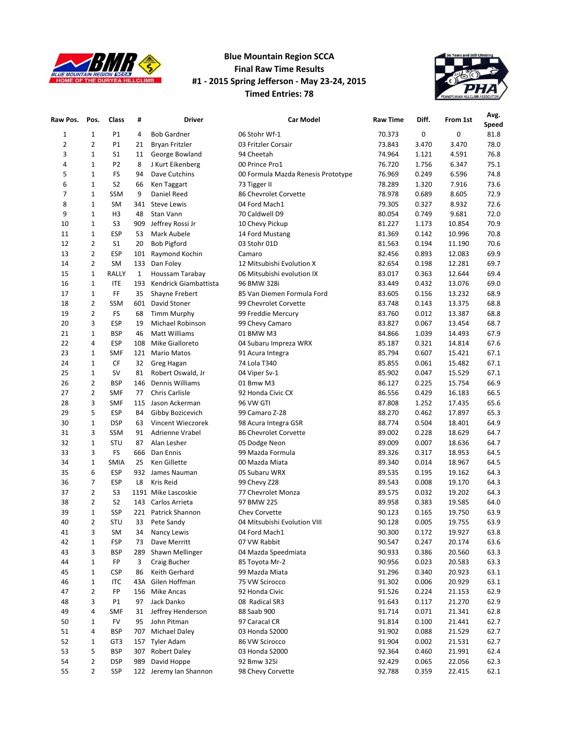

#### **Blue Mountain Region SCCA Final Raw Time Results #1 - 2015 Spring Jefferson - May 23-24, 2015 Timed Entries: 78**



| Raw Pos.       | Pos.           | Class          | #            | <b>Driver</b>         | <b>Car Model</b>                   | <b>Raw Time</b> | Diff. | From 1st | Avg.         |
|----------------|----------------|----------------|--------------|-----------------------|------------------------------------|-----------------|-------|----------|--------------|
|                |                |                |              |                       |                                    |                 |       |          | Speed        |
| $\mathbf{1}$   | 1              | P1             | 4            | <b>Bob Gardner</b>    | 06 Stohr Wf-1                      | 70.373          | 0     | 0        | 81.8         |
| $\overline{2}$ | 2              | P1             | 21           | Bryan Fritzler        | 03 Fritzler Corsair                | 73.843          | 3.470 | 3.470    | 78.0         |
| 3              | $\mathbf 1$    | S <sub>1</sub> | 11           | George Bowland        | 94 Cheetah                         | 74.964          | 1.121 | 4.591    | 76.8         |
| 4              | $\mathbf 1$    | P <sub>2</sub> | 8            | J Kurt Eikenberg      | 00 Prince Pro1                     | 76.720          | 1.756 | 6.347    | 75.1         |
| 5              | $\mathbf 1$    | <b>FS</b>      | 94           | Dave Cutchins         | 00 Formula Mazda Renesis Prototype | 76.969          | 0.249 | 6.596    | 74.8         |
| 6              | $\mathbf 1$    | S <sub>2</sub> | 66           | Ken Taggart           | 73 Tigger II                       | 78.289          | 1.320 | 7.916    | 73.6         |
| 7              | $\mathbf 1$    | <b>SSM</b>     | 9            | Daniel Reed           | 86 Chevrolet Corvette              | 78.978          | 0.689 | 8.605    | 72.9         |
| 8              | $\mathbf 1$    | SM             | 341          | <b>Steve Lewis</b>    | 04 Ford Mach1                      | 79.305          | 0.327 | 8.932    | 72.6         |
| 9              | $\mathbf 1$    | H3             | 48           | Stan Vann             | 70 Caldwell D9                     | 80.054          | 0.749 | 9.681    | 72.0         |
| 10             | 1              | S <sub>3</sub> | 909          | Jeffrey Rossi Jr      | 10 Chevy Pickup                    | 81.227          | 1.173 | 10.854   | 70.9         |
| 11             | $\mathbf 1$    | <b>ESP</b>     | 53           | Mark Aubele           | 14 Ford Mustang                    | 81.369          | 0.142 | 10.996   | 70.8         |
| 12             | 2              | S <sub>1</sub> | 20           | <b>Bob Pigford</b>    | 03 Stohr 01D                       | 81.563          | 0.194 | 11.190   | 70.6         |
| 13             | 2              | <b>ESP</b>     | 101          | Raymond Kochin        | Camaro                             | 82.456          | 0.893 | 12.083   | 69.9         |
| 14             | 2              | SM             | 133          | Dan Foley             | 12 Mitsubishi Evolution X          | 82.654          | 0.198 | 12.281   | 69.7         |
| 15             | 1              | RALLY          | $\mathbf{1}$ | Houssam Tarabay       | 06 Mitsubishi evolution IX         | 83.017          | 0.363 | 12.644   | 69.4         |
| 16             | $\mathbf{1}$   | <b>ITE</b>     | 193          | Kendrick Giambattista | 96 BMW 328i                        | 83.449          | 0.432 | 13.076   | 69.0         |
| 17             | $\mathbf{1}$   | FF             | 35           | Shayne Frebert        | 85 Van Diemen Formula Ford         | 83.605          | 0.156 | 13.232   | 68.9         |
| 18             | 2              | <b>SSM</b>     | 601          | David Stoner          | 99 Chevrolet Corvette              | 83.748          | 0.143 | 13.375   | 68.8         |
| 19             | 2              | <b>FS</b>      | 68           | <b>Timm Murphy</b>    | 99 Freddie Mercury                 | 83.760          | 0.012 | 13.387   | 68.8         |
| 20             | 3              | ESP            | 19           | Michael Robinson      | 99 Chevy Camaro                    | 83.827          | 0.067 | 13.454   | 68.7         |
| 21             | $\mathbf 1$    | <b>BSP</b>     | 46           | Matt Williams         | 01 BMW M3                          | 84.866          | 1.039 | 14.493   | 67.9         |
| 22             | 4              | <b>ESP</b>     | 108          | Mike Gialloreto       | 04 Subaru Impreza WRX              | 85.187          | 0.321 | 14.814   | 67.6         |
| 23             | 1              | <b>SMF</b>     | 121          | <b>Mario Matos</b>    | 91 Acura Integra                   | 85.794          | 0.607 | 15.421   | 67.1         |
| 24             | 1              | CF             | 32           | Greg Hagan            | 74 Lola T340                       | 85.855          | 0.061 | 15.482   | 67.1         |
| 25             | 1              | SV             | 81           | Robert Oswald, Jr     | 04 Viper Sv-1                      | 85.902          | 0.047 | 15.529   | 67.1         |
| 26             | 2              | <b>BSP</b>     | 146          | Dennis Williams       | 01 Bmw M3                          | 86.127          | 0.225 | 15.754   | 66.9         |
| 27             | 2              | <b>SMF</b>     | 77           | Chris Carlisle        | 92 Honda Civic CX                  | 86.556          | 0.429 | 16.183   | 66.5         |
| 28             | 3              | <b>SMF</b>     | 115          | Jason Ackerman        | 96 VW GTI                          | 87.808          | 1.252 | 17.435   | 65.6         |
| 29             | 5              | <b>ESP</b>     | <b>B4</b>    | Gibby Bozicevich      | 99 Camaro Z-28                     | 88.270          | 0.462 | 17.897   | 65.3         |
|                | $\mathbf 1$    | <b>DSP</b>     | 63           |                       |                                    |                 |       |          | 64.9         |
| 30             | 3              |                |              | Vincent Wieczorek     | 98 Acura Integra GSR               | 88.774          | 0.504 | 18.401   |              |
| 31             |                | <b>SSM</b>     | 91           | Adrienne Vrabel       | 86 Chevrolet Corvette              | 89.002          | 0.228 | 18.629   | 64.7         |
| 32             | $\mathbf{1}$   | STU            | 87           | Alan Lesher           | 05 Dodge Neon                      | 89.009          | 0.007 | 18.636   | 64.7         |
| 33             | 3              | <b>FS</b>      | 666          | Dan Ennis             | 99 Mazda Formula                   | 89.326          | 0.317 | 18.953   | 64.5<br>64.5 |
| 34             | 1              | <b>SMIA</b>    | 25           | Ken Gillette          | 00 Mazda Miata                     | 89.340          | 0.014 | 18.967   |              |
| 35             | 6              | ESP            | 932          | James Nauman          | 05 Subaru WRX                      | 89.535          | 0.195 | 19.162   | 64.3         |
| 36             | 7              | <b>ESP</b>     | L8           | <b>Kris Reid</b>      | 99 Chevy Z28                       | 89.543          | 0.008 | 19.170   | 64.3         |
| 37             | 2              | S <sub>3</sub> |              | 1191 Mike Lascoskie   | 77 Chevrolet Monza                 | 89.575          | 0.032 | 19.202   | 64.3         |
| 38             | 2              | S <sub>2</sub> | 143          | Carlos Arrieta        | 97 BMW 225                         | 89.958          | 0.383 | 19.585   | 64.0         |
| 39             | $\mathbf 1$    | SSP            |              | 221 Patrick Shannon   | Chev Corvette                      | 90.123          | 0.165 | 19.750   | 63.9         |
| 40             | $\overline{2}$ | STU            | 33           | Pete Sandy            | 04 Mitsubishi Evolution VIII       | 90.128          | 0.005 | 19.755   | 63.9         |
| 41             | 3              | SM             | 34           | Nancy Lewis           | 04 Ford Mach1                      | 90.300          | 0.172 | 19.927   | 63.8         |
| 42             | $\mathbf 1$    | FSP            | 73           | Dave Merritt          | 07 VW Rabbit                       | 90.547          | 0.247 | 20.174   | 63.6         |
| 43             | 3              | <b>BSP</b>     | 289          | Shawn Mellinger       | 04 Mazda Speedmiata                | 90.933          | 0.386 | 20.560   | 63.3         |
| 44             | 1              | FP             | 3            | Craig Bucher          | 85 Toyota Mr-2                     | 90.956          | 0.023 | 20.583   | 63.3         |
| 45             | 1              | CSP            | 86           | Keith Gerhard         | 99 Mazda Miata                     | 91.296          | 0.340 | 20.923   | 63.1         |
| 46             | $\mathbf 1$    | ITC            | 43A          | Gilen Hoffman         | 75 VW Scirocco                     | 91.302          | 0.006 | 20.929   | 63.1         |
| 47             | 2              | FP             | 156          | Mike Ancas            | 92 Honda Civic                     | 91.526          | 0.224 | 21.153   | 62.9         |
| 48             | 3              | P1             | 97           | Jack Danko            | 08 Radical SR3                     | 91.643          | 0.117 | 21.270   | 62.9         |
| 49             | 4              | <b>SMF</b>     | 31           | Jeffrey Henderson     | 88 Saab 900                        | 91.714          | 0.071 | 21.341   | 62.8         |
| 50             | 1              | FV             | 95           | John Pitman           | 97 Caracal CR                      | 91.814          | 0.100 | 21.441   | 62.7         |
| 51             | 4              | <b>BSP</b>     | 707          | <b>Michael Daley</b>  | 03 Honda S2000                     | 91.902          | 0.088 | 21.529   | 62.7         |
| 52             | 1              | GT3            | 157          | <b>Tyler Adam</b>     | 86 VW Scirocco                     | 91.904          | 0.002 | 21.531   | 62.7         |
| 53             | 5              | <b>BSP</b>     | 307          | <b>Robert Daley</b>   | 03 Honda S2000                     | 92.364          | 0.460 | 21.991   | 62.4         |
| 54             | 2              | DSP            | 989          | David Hoppe           | 92 Bmw 325i                        | 92.429          | 0.065 | 22.056   | 62.3         |
| 55             | 2              | SSP            | 122          | Jeremy Ian Shannon    | 98 Chevy Corvette                  | 92.788          | 0.359 | 22.415   | 62.1         |